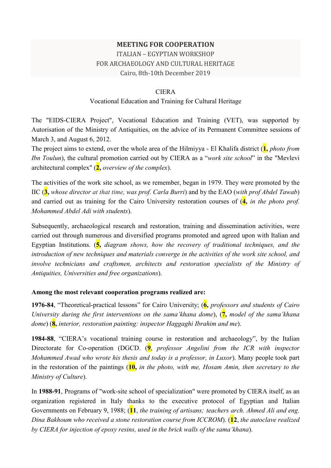## **MEETING FOR COOPERATION**

# ITALIAN – EGYPTIAN WORKSHOP FOR ARCHAEOLOGY AND CULTURAL HERITAGE Cairo, 8th-10th December 2019

#### CIERA

#### Vocational Education and Training for Cultural Heritage

The "EIDS-CIERA Project", Vocational Education and Training (VET), was supported by Autorisation of the Ministry of Antiquities, on the advice of its Permanent Committee sessions of March 3, and August 6, 2012.

The project aims to extend, over the whole area of the Hilmiyya - El Khalifa district (**1,** *photo from Ibn Toulun*), the cultural promotion carried out by CIERA as a "*work site school*" in the "Mevlevi architectural complex" (**2,** *overview of the complex*).

The activities of the work site school, as we remember, began in 1979. They were promoted by the IIC (**3,** *whose director at that time, was prof. Carla Burri*) and by the EAO (*with prof Abdel Tawab*) and carried out as training for the Cairo University restoration courses of (**4,** *in the photo prof. Mohammed Abdel Adi with students*).

Subsequently, archaeological research and restoration, training and dissemination activities, were carried out through numerous and diversified programs promoted and agreed upon with Italian and Egyptian Institutions. (**5,** *diagram shows, how the recovery of traditional techniques, and the introduction of new techniques and materials converge in the activities of the work site school, and involve technicians and craftsmen, architects and restoration specialists of the Ministry of Antiquities, Universities and free organizations*).

#### **Among the most relevant cooperation programs realized are:**

**1976-84**, "Theoretical-practical lessons" for Cairo University; (**6,** *professors and students of Cairo University during the first interventions on the sama'khana dome*), (**7,** *model of the sama'khana dome*) (**8,** *interior, restoration painting: inspector Haggaghi Ibrahim and me*).

**1984-88**, "CIERA's vocational training course in restoration and archaeology", by the Italian Directorate for Co-operation (DGCD. (**9**, *professor Angelini from the ICR with inspector Mohammed Awad who wrote his thesis and today is a professor, in Luxor*). Many people took part in the restoration of the paintings (**10,** *in the photo, with me, Hosam Amin, then secretary to the Ministry of Culture*).

In **1988-91**, Programs of "work-site school of specialization" were promoted by CIERA itself, as an organization registered in Italy thanks to the executive protocol of Egyptian and Italian Governments on February 9, 1988; (**11**, *the training of artisans; teachers arch. Ahmed Ali and eng. Dina Bakhoum who received a stone restoration course from ICCROM*). (**12**, *the autoclave realized by CIERA for injection of epoxy resins, used in the brick walls of the sama'khana*).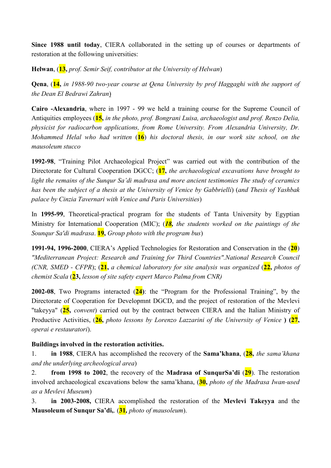**Since 1988 until today**, CIERA collaborated in the setting up of courses or departments of restoration at the following universities:

**Helwan**, (**13,** *prof. Semir Seif, contributor at the University of Helwan*)

**Qena**, (**14,** *in 1988-90 two-year course at Qena University by prof Haggaghi with the support of the Dean El Bedrawi Zahran*)

**Cairo -Alexandria**, where in 1997 - 99 we held a training course for the Supreme Council of Antiquities employees (**15,** *in the photo, prof. Bongrani Luisa, archaeologist and prof. Renzo Delia, physicist for radiocarbon applications, from Rome University. From Alexandria University, Dr. Mohammed Helal who had written* (**16**) *his doctoral thesis, in our work site school, on the mausoleum stucco* 

**1992-98**, "Training Pilot Archaeological Project" was carried out with the contribution of the Directorate for Cultural Cooperation DGCC; (**17,** *the archaeological excavations have brought to light the remains of the Sunqur Sa'di madrasa and more ancient testimonies The study of ceramics has been the subject of a thesis at the University of Venice by Gabbrielli*) (*and Thesis of Yashbak palace by Cinzia Tavernari with Venice and Paris Universities*)

In **1995-99**, Theoretical-practical program for the students of Tanta University by Egyptian Ministry for International Cooperation (MIC); (*18, the students worked on the paintings of the Sounqur Sa'di madrasa*. **19,** *Group photo with the program bus*)

**1991-94, 1996-2000**, CIERA's Applied Technologies for Restoration and Conservation in the (**20**) *"Mediterranean Project: Research and Training for Third Countries".National Research Council (CNR, SMED - CFPR*); (**21,** *a chemical laboratory for site analysis was organized* (**22,** *photos of chemist Scala* (**23,** *lesson of site safety expert Marco Palma from CNR)* 

**2002-08**, Two Programs interacted (**24)**: the "Program for the Professional Training", by the Directorate of Cooperation for Developmnt DGCD, and the project of restoration of the Mevlevi "takeyya" (**25,** *convent*) carried out by the contract between CIERA and the Italian Ministry of Productive Activities, (**26,** *photo lessons by Lorenzo Lazzarini of the University of Venice* **) (27,**  *operai e restauratori*).

## **Buildings involved in the restoration activities.**

1. **in 1988**, CIERA has accomplished the recovery of the **Sama'khana**, (**28,** *the sama'khana and the underlying archeological area*)

2. **from 1998 to 2002**, the recovery of the **Madrasa of SunqurSa'di** (**29**). The restoration involved archaeological excavations below the sama'khana, (30, *photo of the Madrasa Iwan-used as a Mevlevi Museum*)

3. **in 2003-2008,** CIERA accomplished the restoration of the **Mevlevi Takeyya** and the **Mausoleum of Sunqur Sa'di,**. (**31***, photo of mausoleum*).